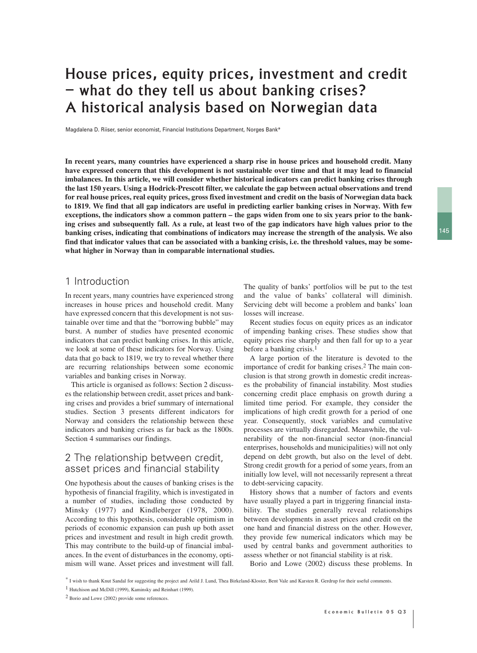# House prices, equity prices, investment and credit – what do they tell us about banking crises? A historical analysis based on Norwegian data

Magdalena D. Riiser, senior economist, Financial Institutions Department, Norges Bank\*

**In recent years, many countries have experienced a sharp rise in house prices and household credit. Many have expressed concern that this development is not sustainable over time and that it may lead to financial imbalances. In this article, we will consider whether historical indicators can predict banking crises through the last 150 years. Using a Hodrick-Prescott filter, we calculate the gap between actual observations and trend for real house prices, real equity prices, gross fixed investment and credit on the basis of Norwegian data back to 1819. We find that all gap indicators are useful in predicting earlier banking crises in Norway. With few exceptions, the indicators show a common pattern – the gaps widen from one to six years prior to the banking crises and subsequently fall. As a rule, at least two of the gap indicators have high values prior to the banking crises, indicating that combinations of indicators may increase the strength of the analysis. We also find that indicator values that can be associated with a banking crisis, i.e. the threshold values, may be somewhat higher in Norway than in comparable international studies.**

## 1 Introduction

In recent years, many countries have experienced strong increases in house prices and household credit. Many have expressed concern that this development is not sustainable over time and that the "borrowing bubble" may burst. A number of studies have presented economic indicators that can predict banking crises. In this article, we look at some of these indicators for Norway. Using data that go back to 1819, we try to reveal whether there are recurring relationships between some economic variables and banking crises in Norway.

This article is organised as follows: Section 2 discusses the relationship between credit, asset prices and banking crises and provides a brief summary of international studies. Section 3 presents different indicators for Norway and considers the relationship between these indicators and banking crises as far back as the 1800s. Section 4 summarises our findings.

# 2 The relationship between credit, asset prices and financial stability

One hypothesis about the causes of banking crises is the hypothesis of financial fragility, which is investigated in a number of studies, including those conducted by Minsky (1977) and Kindleberger (1978, 2000). According to this hypothesis, considerable optimism in periods of economic expansion can push up both asset prices and investment and result in high credit growth. This may contribute to the build-up of financial imbalances. In the event of disturbances in the economy, optimism will wane. Asset prices and investment will fall. The quality of banks' portfolios will be put to the test and the value of banks' collateral will diminish. Servicing debt will become a problem and banks' loan losses will increase.

Recent studies focus on equity prices as an indicator of impending banking crises. These studies show that equity prices rise sharply and then fall for up to a year before a banking crisis.<sup>1</sup>

A large portion of the literature is devoted to the importance of credit for banking crises.2 The main conclusion is that strong growth in domestic credit increases the probability of financial instability. Most studies concerning credit place emphasis on growth during a limited time period. For example, they consider the implications of high credit growth for a period of one year. Consequently, stock variables and cumulative processes are virtually disregarded. Meanwhile, the vulnerability of the non-financial sector (non-financial enterprises, households and municipalities) will not only depend on debt growth, but also on the level of debt. Strong credit growth for a period of some years, from an initially low level, will not necessarily represent a threat to debt-servicing capacity.

History shows that a number of factors and events have usually played a part in triggering financial instability. The studies generally reveal relationships between developments in asset prices and credit on the one hand and financial distress on the other. However, they provide few numerical indicators which may be used by central banks and government authorities to assess whether or not financial stability is at risk.

Borio and Lowe (2002) discuss these problems. In

<sup>\*</sup> I wish to thank Knut Sandal for suggesting the project and Arild J. Lund, Thea Birkeland-Kloster, Bent Vale and Karsten R. Gerdrup for their useful comments.

<sup>1</sup> Hutchison and McDill (1999), Kaminsky and Reinhart (1999).

<sup>2</sup> Borio and Lowe (2002) provide some references.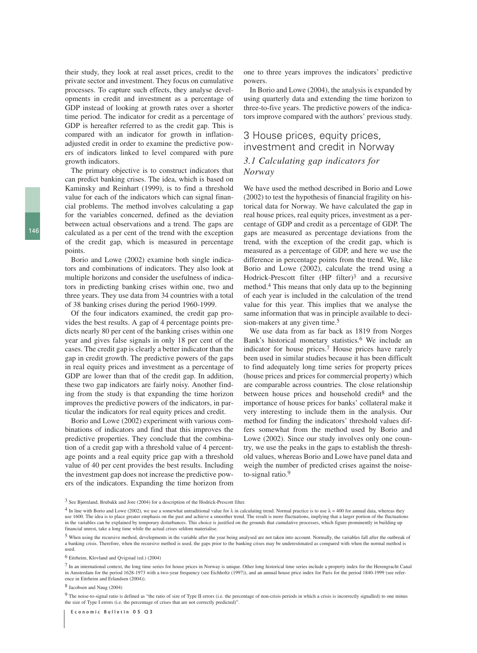their study, they look at real asset prices, credit to the private sector and investment. They focus on cumulative processes. To capture such effects, they analyse developments in credit and investment as a percentage of GDP instead of looking at growth rates over a shorter time period. The indicator for credit as a percentage of GDP is hereafter referred to as the credit gap. This is compared with an indicator for growth in inflationadjusted credit in order to examine the predictive powers of indicators linked to level compared with pure growth indicators.

The primary objective is to construct indicators that can predict banking crises. The idea, which is based on Kaminsky and Reinhart (1999), is to find a threshold value for each of the indicators which can signal financial problems. The method involves calculating a gap for the variables concerned, defined as the deviation between actual observations and a trend. The gaps are calculated as a per cent of the trend with the exception of the credit gap, which is measured in percentage points.

Borio and Lowe (2002) examine both single indicators and combinations of indicators. They also look at multiple horizons and consider the usefulness of indicators in predicting banking crises within one, two and three years. They use data from 34 countries with a total of 38 banking crises during the period 1960-1999.

Of the four indicators examined, the credit gap provides the best results. A gap of 4 percentage points predicts nearly 80 per cent of the banking crises within one year and gives false signals in only 18 per cent of the cases. The credit gap is clearly a better indicator than the gap in credit growth. The predictive powers of the gaps in real equity prices and investment as a percentage of GDP are lower than that of the credit gap. In addition, these two gap indicators are fairly noisy. Another finding from the study is that expanding the time horizon improves the predictive powers of the indicators, in particular the indicators for real equity prices and credit.

Borio and Lowe (2002) experiment with various combinations of indicators and find that this improves the predictive properties. They conclude that the combination of a credit gap with a threshold value of 4 percentage points and a real equity price gap with a threshold value of 40 per cent provides the best results. Including the investment gap does not increase the predictive powers of the indicators. Expanding the time horizon from one to three years improves the indicators' predictive powers.

In Borio and Lowe (2004), the analysis is expanded by using quarterly data and extending the time horizon to three-to-five years. The predictive powers of the indicators improve compared with the authors' previous study.

# 3 House prices, equity prices, investment and credit in Norway

### *3.1 Calculating gap indicators for Norway*

We have used the method described in Borio and Lowe (2002) to test the hypothesis of financial fragility on historical data for Norway. We have calculated the gap in real house prices, real equity prices, investment as a percentage of GDP and credit as a percentage of GDP. The gaps are measured as percentage deviations from the trend, with the exception of the credit gap, which is measured as a percentage of GDP, and here we use the difference in percentage points from the trend. We, like Borio and Lowe (2002), calculate the trend using a Hodrick-Prescott filter (HP filter)<sup>3</sup> and a recursive method.4 This means that only data up to the beginning of each year is included in the calculation of the trend value for this year. This implies that we analyse the same information that was in principle available to decision-makers at any given time.<sup>5</sup>

We use data from as far back as 1819 from Norges Bank's historical monetary statistics.<sup>6</sup> We include an indicator for house prices.7 House prices have rarely been used in similar studies because it has been difficult to find adequately long time series for property prices (house prices and prices for commercial property) which are comparable across countries. The close relationship between house prices and household credit<sup>8</sup> and the importance of house prices for banks' collateral make it very interesting to include them in the analysis. Our method for finding the indicators' threshold values differs somewhat from the method used by Borio and Lowe (2002). Since our study involves only one country, we use the peaks in the gaps to establish the threshold values, whereas Borio and Lowe have panel data and weigh the number of predicted crises against the noiseto-signal ratio.9

7 In an international context, the long time series for house prices in Norway is unique. Other long historical time series include a property index for the Herengracht Canal in Amsterdam for the period 1628-1973 with a two-year frequency (see Eichholtz (1997)), and an annual house price index for Paris for the period 1840-1999 (see reference in Eitrheim and Erlandsen (2004)).

8 Jacobsen and Naug (2004)

9 The noise-to-signal ratio is defined as "the ratio of size of Type II errors (i.e. the percentage of non-crisis periods in which a crisis is incorrectly signalled) to one minus the size of Type I errors (i.e. the percentage of crises that are not correctly predicted)".

<sup>3</sup> See Bjørnland, Brubakk and Jore (2004) for a description of the Hodrick-Prescott filter.

<sup>&</sup>lt;sup>4</sup> In line with Borio and Lowe (2002), we use a somewhat untraditional value for  $\lambda$  in calculating trend. Normal practice is to use  $\lambda$  = 400 for annual data, whereas they use 1600. The idea is to place greater emphasis on the past and achieve a smoother trend. The result is more fluctuations, implying that a larger portion of the fluctuations in the variables can be explained by temporary disturbances. This choice is justified on the grounds that cumulative processes, which figure prominently in building up financial unrest, take a long time while the actual crises seldom materialise.

<sup>5</sup> When using the recursive method, developments in the variable after the year being analysed are not taken into account. Normally, the variables fall after the outbreak of a banking crisis. Therefore, when the recursive method is used, the gaps prior to the banking crises may be underestimated as compared with when the normal method is used.

<sup>6</sup> Eitrheim, Klovland and Qvigstad (ed.) (2004)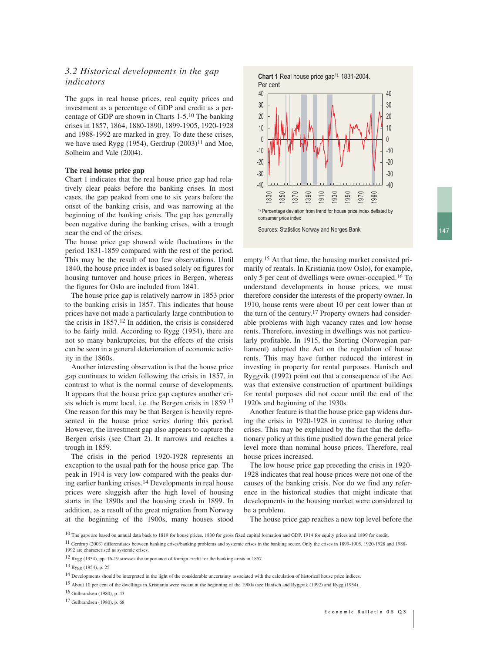### *3.2 Historical developments in the gap indicators*

The gaps in real house prices, real equity prices and investment as a percentage of GDP and credit as a percentage of GDP are shown in Charts 1-5.10 The banking crises in 1857, 1864, 1880-1890, 1899-1905, 1920-1928 and 1988-1992 are marked in grey. To date these crises, we have used Rygg (1954), Gerdrup  $(2003)^{11}$  and Moe, Solheim and Vale (2004).

#### **The real house price gap**

Chart 1 indicates that the real house price gap had relatively clear peaks before the banking crises. In most cases, the gap peaked from one to six years before the onset of the banking crisis, and was narrowing at the beginning of the banking crisis. The gap has generally been negative during the banking crises, with a trough near the end of the crises.

The house price gap showed wide fluctuations in the period 1831-1859 compared with the rest of the period. This may be the result of too few observations. Until 1840, the house price index is based solely on figures for housing turnover and house prices in Bergen, whereas the figures for Oslo are included from 1841.

The house price gap is relatively narrow in 1853 prior to the banking crisis in 1857. This indicates that house prices have not made a particularly large contribution to the crisis in 1857.12 In addition, the crisis is considered to be fairly mild. According to Rygg (1954), there are not so many bankruptcies, but the effects of the crisis can be seen in a general deterioration of economic activity in the 1860s.

Another interesting observation is that the house price gap continues to widen following the crisis in 1857, in contrast to what is the normal course of developments. It appears that the house price gap captures another crisis which is more local, i.e. the Bergen crisis in 1859.13 One reason for this may be that Bergen is heavily represented in the house price series during this period. However, the investment gap also appears to capture the Bergen crisis (see Chart 2). It narrows and reaches a trough in 1859.

The crisis in the period 1920-1928 represents an exception to the usual path for the house price gap. The peak in 1914 is very low compared with the peaks during earlier banking crises.14 Developments in real house prices were sluggish after the high level of housing starts in the 1890s and the housing crash in 1899. In addition, as a result of the great migration from Norway at the beginning of the 1900s, many houses stood



empty.15 At that time, the housing market consisted primarily of rentals. In Kristiania (now Oslo), for example, only 5 per cent of dwellings were owner-occupied.16 To understand developments in house prices, we must therefore consider the interests of the property owner. In 1910, house rents were about 10 per cent lower than at the turn of the century.17 Property owners had considerable problems with high vacancy rates and low house rents. Therefore, investing in dwellings was not particularly profitable. In 1915, the Storting (Norwegian parliament) adopted the Act on the regulation of house rents. This may have further reduced the interest in investing in property for rental purposes. Hanisch and Ryggvik (1992) point out that a consequence of the Act was that extensive construction of apartment buildings for rental purposes did not occur until the end of the 1920s and beginning of the 1930s.

Another feature is that the house price gap widens during the crisis in 1920-1928 in contrast to during other crises. This may be explained by the fact that the deflationary policy at this time pushed down the general price level more than nominal house prices. Therefore, real house prices increased.

The low house price gap preceding the crisis in 1920- 1928 indicates that real house prices were not one of the causes of the banking crisis. Nor do we find any reference in the historical studies that might indicate that developments in the housing market were considered to be a problem.

The house price gap reaches a new top level before the

<sup>&</sup>lt;sup>10</sup> The gaps are based on annual data back to 1819 for house prices, 1830 for gross fixed capital formation and GDP, 1914 for equity prices and 1899 for credit.

<sup>11</sup> Gerdrup (2003) differentiates between banking crises/banking problems and systemic crises in the banking sector. Only the crises in 1899-1905, 1920-1928 and 1988- 1992 are characterised as systemic crises.

<sup>12</sup> Rygg (1954), pp. 16-19 stresses the importance of foreign credit for the banking crisis in 1857.

<sup>13</sup> Rygg (1954), p. 25

<sup>&</sup>lt;sup>14</sup> Developments should be interpreted in the light of the considerable uncertainty associated with the calculation of historical house price indices.

<sup>15</sup> About 10 per cent of the dwellings in Kristiania were vacant at the beginning of the 1900s (see Hanisch and Ryggvik (1992) and Rygg (1954).

<sup>16</sup> Gulbrandsen (1980), p. 43.

<sup>17</sup> Gulbrandsen (1980), p. 68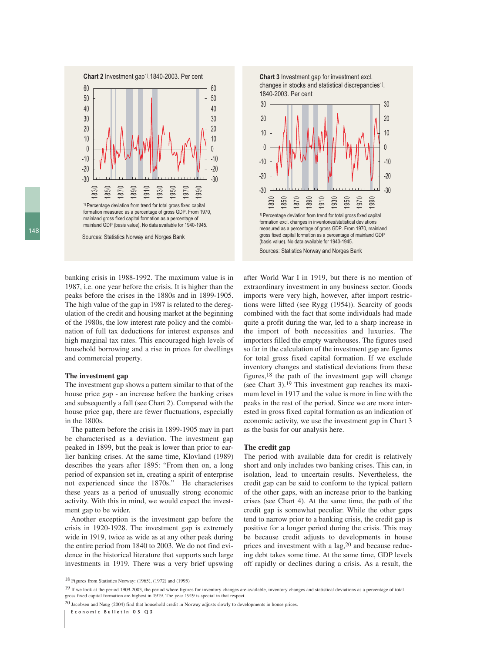

Sources: Statistics Norway and Norges Bank

**Chart 3** Investment gap for investment excl. changes in stocks and statistical discrepancies<sup>1)</sup>. 1840-2003. Per cent



banking crisis in 1988-1992. The maximum value is in 1987, i.e. one year before the crisis. It is higher than the peaks before the crises in the 1880s and in 1899-1905. The high value of the gap in 1987 is related to the deregulation of the credit and housing market at the beginning of the 1980s, the low interest rate policy and the combination of full tax deductions for interest expenses and high marginal tax rates. This encouraged high levels of household borrowing and a rise in prices for dwellings and commercial property.

#### **The investment gap**

The investment gap shows a pattern similar to that of the house price gap - an increase before the banking crises and subsequently a fall (see Chart 2). Compared with the house price gap, there are fewer fluctuations, especially in the 1800s.

The pattern before the crisis in 1899-1905 may in part be characterised as a deviation. The investment gap peaked in 1899, but the peak is lower than prior to earlier banking crises. At the same time, Klovland (1989) describes the years after 1895: "From then on, a long period of expansion set in, creating a spirit of enterprise not experienced since the 1870s." He characterises these years as a period of unusually strong economic activity. With this in mind, we would expect the investment gap to be wider.

Another exception is the investment gap before the crisis in 1920-1928. The investment gap is extremely wide in 1919, twice as wide as at any other peak during the entire period from 1840 to 2003. We do not find evidence in the historical literature that supports such large investments in 1919. There was a very brief upswing

after World War I in 1919, but there is no mention of extraordinary investment in any business sector. Goods imports were very high, however, after import restrictions were lifted (see Rygg (1954)). Scarcity of goods combined with the fact that some individuals had made quite a profit during the war, led to a sharp increase in the import of both necessities and luxuries. The importers filled the empty warehouses. The figures used so far in the calculation of the investment gap are figures for total gross fixed capital formation. If we exclude inventory changes and statistical deviations from these figures,18 the path of the investment gap will change (see Chart 3).19 This investment gap reaches its maximum level in 1917 and the value is more in line with the peaks in the rest of the period. Since we are more interested in gross fixed capital formation as an indication of economic activity, we use the investment gap in Chart 3 as the basis for our analysis here.

#### **The credit gap**

The period with available data for credit is relatively short and only includes two banking crises. This can, in isolation, lead to uncertain results. Nevertheless, the credit gap can be said to conform to the typical pattern of the other gaps, with an increase prior to the banking crises (see Chart 4). At the same time, the path of the credit gap is somewhat peculiar. While the other gaps tend to narrow prior to a banking crisis, the credit gap is positive for a longer period during the crisis. This may be because credit adjusts to developments in house prices and investment with a lag,<sup>20</sup> and because reducing debt takes some time. At the same time, GDP levels off rapidly or declines during a crisis. As a result, the

20 Jacobsen and Naug (2004) find that household credit in Norway adjusts slowly to developments in house prices.

<sup>18</sup> Figures from Statistics Norway: (1965), (1972) and (1995)

<sup>&</sup>lt;sup>19</sup> If we look at the period 1909-2003, the period where figures for inventory changes are available, inventory changes and statistical deviations as a percentage of total gross fixed capital formation are highest in 1919. The year 1919 is special in that respect.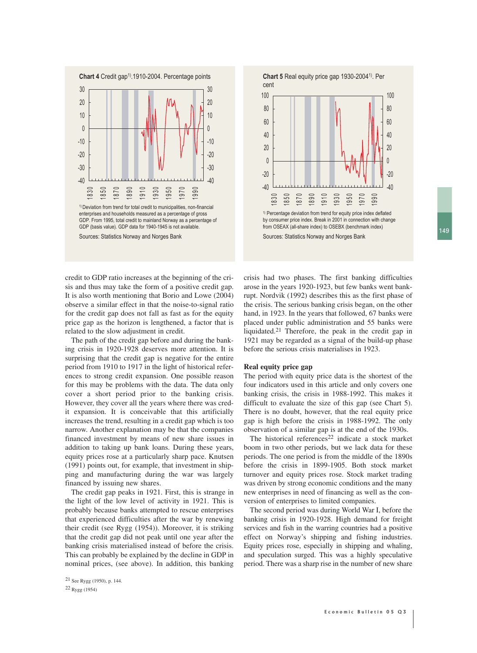149





credit to GDP ratio increases at the beginning of the crisis and thus may take the form of a positive credit gap. It is also worth mentioning that Borio and Lowe (2004) observe a similar effect in that the noise-to-signal ratio for the credit gap does not fall as fast as for the equity price gap as the horizon is lengthened, a factor that is related to the slow adjustment in credit.

The path of the credit gap before and during the banking crisis in 1920-1928 deserves more attention. It is surprising that the credit gap is negative for the entire period from 1910 to 1917 in the light of historical references to strong credit expansion. One possible reason for this may be problems with the data. The data only cover a short period prior to the banking crisis. However, they cover all the years where there was credit expansion. It is conceivable that this artificially increases the trend, resulting in a credit gap which is too narrow. Another explanation may be that the companies financed investment by means of new share issues in addition to taking up bank loans. During these years, equity prices rose at a particularly sharp pace. Knutsen (1991) points out, for example, that investment in shipping and manufacturing during the war was largely financed by issuing new shares.

The credit gap peaks in 1921. First, this is strange in the light of the low level of activity in 1921. This is probably because banks attempted to rescue enterprises that experienced difficulties after the war by renewing their credit (see Rygg (1954)). Moreover, it is striking that the credit gap did not peak until one year after the banking crisis materialised instead of before the crisis. This can probably be explained by the decline in GDP in nominal prices, (see above). In addition, this banking crisis had two phases. The first banking difficulties arose in the years 1920-1923, but few banks went bankrupt. Nordvik (1992) describes this as the first phase of the crisis. The serious banking crisis began, on the other hand, in 1923. In the years that followed, 67 banks were placed under public administration and 55 banks were liquidated.21 Therefore, the peak in the credit gap in 1921 may be regarded as a signal of the build-up phase before the serious crisis materialises in 1923.

#### **Real equity price gap**

The period with equity price data is the shortest of the four indicators used in this article and only covers one banking crisis, the crisis in 1988-1992. This makes it difficult to evaluate the size of this gap (see Chart 5). There is no doubt, however, that the real equity price gap is high before the crisis in 1988-1992. The only observation of a similar gap is at the end of the 1930s.

The historical references<sup>22</sup> indicate a stock market boom in two other periods, but we lack data for these periods. The one period is from the middle of the 1890s before the crisis in 1899-1905. Both stock market turnover and equity prices rose. Stock market trading was driven by strong economic conditions and the many new enterprises in need of financing as well as the conversion of enterprises to limited companies.

The second period was during World War I, before the banking crisis in 1920-1928. High demand for freight services and fish in the warring countries had a positive effect on Norway's shipping and fishing industries. Equity prices rose, especially in shipping and whaling, and speculation surged. This was a highly speculative period. There was a sharp rise in the number of new share

<sup>21</sup> See Rygg (1950), p. 144.

<sup>22</sup> Rygg (1954)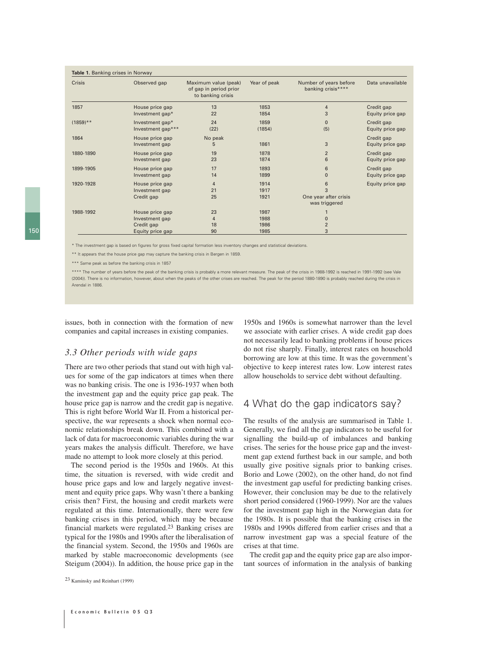| Crisis      | Observed gap                                                        | Maximum value (peak)<br>of gap in period prior<br>to banking crisis | Year of peak                 | Number of years before<br>banking crisis****     | Data unavailable               |
|-------------|---------------------------------------------------------------------|---------------------------------------------------------------------|------------------------------|--------------------------------------------------|--------------------------------|
| 1857        | House price gap                                                     | 13                                                                  | 1853                         | 4                                                | Credit gap                     |
|             | Investment gap*                                                     | 22                                                                  | 1854                         | 3                                                | Equity price gap               |
| $(1859)$ ** | Investment gap*                                                     | 24                                                                  | 1859                         | $\Omega$                                         | Credit gap                     |
|             | Investment gap***                                                   | (22)                                                                | (1854)                       | (5)                                              | Equity price gap               |
| 1864        | House price gap<br>Investment gap                                   | No peak<br>5                                                        | 1861                         | 3                                                | Credit gap<br>Equity price gap |
| 1880-1890   | House price gap                                                     | 19                                                                  | 1878                         | $\overline{2}$                                   | Credit gap                     |
|             | Investment gap                                                      | 23                                                                  | 1874                         | 6                                                | Equity price gap               |
| 1899-1905   | House price gap                                                     | 17                                                                  | 1893                         | 6                                                | Credit gap                     |
|             | Investment gap                                                      | 14                                                                  | 1899                         | $\mathbf 0$                                      | Equity price gap               |
| 1920-1928   | House price gap<br>Investment gap<br>Credit gap                     | 4<br>21<br>25                                                       | 1914<br>1917<br>1921         | 6<br>3<br>One year after crisis<br>was triggered | Equity price gap               |
| 1988-1992   | House price gap<br>Investment gap<br>Credit gap<br>Equity price gap | 23<br>4<br>18<br>90                                                 | 1987<br>1988<br>1986<br>1985 | 0<br>$\overline{2}$<br>3                         |                                |

\* The investment gap is based on figures for gross fixed capital formation less inventory changes and statistical deviations.

\*\* It appears that the house price gap may capture the banking crisis in Bergen in 1859.

\*\*\* Same peak as before the banking crisis in 1857

\*\*\*\* The number of years before the peak of the banking crisis is probably a more relevant measure. The peak of the crisis in 1988-1992 is reached in 1991-1992 (see Vale (2004)). There is no information, however, about when the peaks of the other crises are reached. The peak for the period 1880-1890 is probably reached during the crisis in Arendal in 1886.

issues, both in connection with the formation of new companies and capital increases in existing companies.

### *3.3 Other periods with wide gaps*

There are two other periods that stand out with high values for some of the gap indicators at times when there was no banking crisis. The one is 1936-1937 when both the investment gap and the equity price gap peak. The house price gap is narrow and the credit gap is negative. This is right before World War II. From a historical perspective, the war represents a shock when normal economic relationships break down. This combined with a lack of data for macroeconomic variables during the war years makes the analysis difficult. Therefore, we have made no attempt to look more closely at this period.

The second period is the 1950s and 1960s. At this time, the situation is reversed, with wide credit and house price gaps and low and largely negative investment and equity price gaps. Why wasn't there a banking crisis then? First, the housing and credit markets were regulated at this time. Internationally, there were few banking crises in this period, which may be because financial markets were regulated.23 Banking crises are typical for the 1980s and 1990s after the liberalisation of the financial system. Second, the 1950s and 1960s are marked by stable macroeconomic developments (see Steigum (2004)). In addition, the house price gap in the

1950s and 1960s is somewhat narrower than the level we associate with earlier crises. A wide credit gap does not necessarily lead to banking problems if house prices do not rise sharply. Finally, interest rates on household borrowing are low at this time. It was the government's objective to keep interest rates low. Low interest rates allow households to service debt without defaulting.

# 4 What do the gap indicators say?

The results of the analysis are summarised in Table 1. Generally, we find all the gap indicators to be useful for signalling the build-up of imbalances and banking crises. The series for the house price gap and the investment gap extend furthest back in our sample, and both usually give positive signals prior to banking crises. Borio and Lowe (2002), on the other hand, do not find the investment gap useful for predicting banking crises. However, their conclusion may be due to the relatively short period considered (1960-1999). Nor are the values for the investment gap high in the Norwegian data for the 1980s. It is possible that the banking crises in the 1980s and 1990s differed from earlier crises and that a narrow investment gap was a special feature of the crises at that time.

The credit gap and the equity price gap are also important sources of information in the analysis of banking

<sup>23</sup> Kaminsky and Reinhart (1999)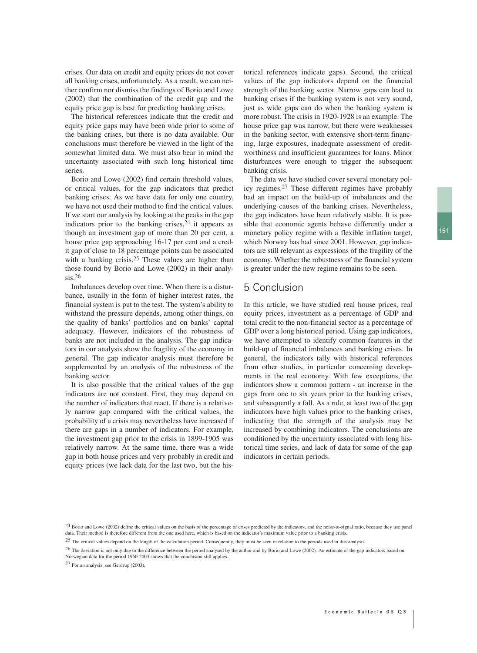crises. Our data on credit and equity prices do not cover all banking crises, unfortunately. As a result, we can neither confirm nor dismiss the findings of Borio and Lowe (2002) that the combination of the credit gap and the equity price gap is best for predicting banking crises.

The historical references indicate that the credit and equity price gaps may have been wide prior to some of the banking crises, but there is no data available. Our conclusions must therefore be viewed in the light of the somewhat limited data. We must also bear in mind the uncertainty associated with such long historical time series.

Borio and Lowe (2002) find certain threshold values, or critical values, for the gap indicators that predict banking crises. As we have data for only one country, we have not used their method to find the critical values. If we start our analysis by looking at the peaks in the gap indicators prior to the banking crises,  $24$  it appears as though an investment gap of more than 20 per cent, a house price gap approaching 16-17 per cent and a credit gap of close to 18 percentage points can be associated with a banking crisis.<sup>25</sup> These values are higher than those found by Borio and Lowe (2002) in their analysis.26

Imbalances develop over time. When there is a disturbance, usually in the form of higher interest rates, the financial system is put to the test. The system's ability to withstand the pressure depends, among other things, on the quality of banks' portfolios and on banks' capital adequacy. However, indicators of the robustness of banks are not included in the analysis. The gap indicators in our analysis show the fragility of the economy in general. The gap indicator analysis must therefore be supplemented by an analysis of the robustness of the banking sector.

It is also possible that the critical values of the gap indicators are not constant. First, they may depend on the number of indicators that react. If there is a relatively narrow gap compared with the critical values, the probability of a crisis may nevertheless have increased if there are gaps in a number of indicators. For example, the investment gap prior to the crisis in 1899-1905 was relatively narrow. At the same time, there was a wide gap in both house prices and very probably in credit and equity prices (we lack data for the last two, but the his-

torical references indicate gaps). Second, the critical values of the gap indicators depend on the financial strength of the banking sector. Narrow gaps can lead to banking crises if the banking system is not very sound, just as wide gaps can do when the banking system is more robust. The crisis in 1920-1928 is an example. The house price gap was narrow, but there were weaknesses in the banking sector, with extensive short-term financing, large exposures, inadequate assessment of creditworthiness and insufficient guarantees for loans. Minor disturbances were enough to trigger the subsequent banking crisis.

The data we have studied cover several monetary policy regimes.27 These different regimes have probably had an impact on the build-up of imbalances and the underlying causes of the banking crises. Nevertheless, the gap indicators have been relatively stable. It is possible that economic agents behave differently under a monetary policy regime with a flexible inflation target, which Norway has had since 2001. However, gap indicators are still relevant as expressions of the fragility of the economy. Whether the robustness of the financial system is greater under the new regime remains to be seen.

# 5 Conclusion

In this article, we have studied real house prices, real equity prices, investment as a percentage of GDP and total credit to the non-financial sector as a percentage of GDP over a long historical period. Using gap indicators, we have attempted to identify common features in the build-up of financial imbalances and banking crises. In general, the indicators tally with historical references from other studies, in particular concerning developments in the real economy. With few exceptions, the indicators show a common pattern - an increase in the gaps from one to six years prior to the banking crises, and subsequently a fall. As a rule, at least two of the gap indicators have high values prior to the banking crises, indicating that the strength of the analysis may be increased by combining indicators. The conclusions are conditioned by the uncertainty associated with long historical time series, and lack of data for some of the gap indicators in certain periods.

27 For an analysis, see Gerdrup (2003).

<sup>&</sup>lt;sup>24</sup> Borio and Lowe (2002) define the critical values on the basis of the percentage of crises predicted by the indicators, and the noise-to-signal ratio, because they use panel data. Their method is therefore different from the one used here, which is based on the indicator's maximum value prior to a banking crisis.

<sup>25</sup> The critical values depend on the length of the calculation period. Consequently, they must be seen in relation to the periods used in this analysis.

<sup>&</sup>lt;sup>26</sup> The deviation is not only due to the difference between the period analysed by the author and by Borio and Lowe (2002). An estimate of the gap indicators based on Norwegian data for the period 1960-2003 shows that the conclusion still applies.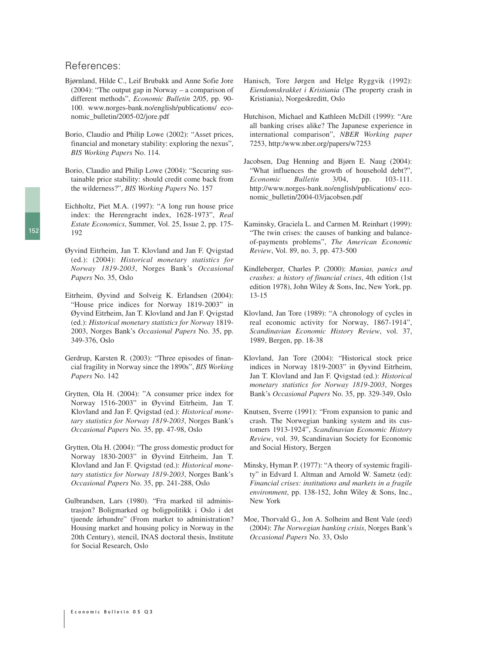### References:

- Bjørnland, Hilde C., Leif Brubakk and Anne Sofie Jore (2004): "The output gap in Norway – a comparison of different methods", *Economic Bulletin* 2/05, pp. 90- 100. www.norges-bank.no/english/publications/ economic\_bulletin/2005-02/jore.pdf
- Borio, Claudio and Philip Lowe (2002): "Asset prices, financial and monetary stability: exploring the nexus", *BIS Working Papers* No. 114.
- Borio, Claudio and Philip Lowe (2004): "Securing sustainable price stability: should credit come back from the wilderness?", *BIS Working Papers* No. 157
- Eichholtz, Piet M.A. (1997): "A long run house price index: the Herengracht index, 1628-1973", *Real Estate Economics*, Summer, Vol. 25, Issue 2, pp. 175- 192
- Øyvind Eitrheim, Jan T. Klovland and Jan F. Qvigstad (ed.): (2004): *Historical monetary statistics for Norway 1819-2003*, Norges Bank's *Occasional Papers* No. 35, Oslo
- Eitrheim, Øyvind and Solveig K. Erlandsen (2004): "House price indices for Norway 1819-2003" in Øyvind Eitrheim, Jan T. Klovland and Jan F. Qvigstad (ed.): *Historical monetary statistics for Norway* 1819- 2003, Norges Bank's *Occasional Papers* No. 35, pp. 349-376, Oslo
- Gerdrup, Karsten R. (2003): "Three episodes of financial fragility in Norway since the 1890s", *BIS Working Papers* No. 142
- Grytten, Ola H. (2004): "A consumer price index for Norway 1516-2003" in Øyvind Eitrheim, Jan T. Klovland and Jan F. Qvigstad (ed.): *Historical monetary statistics for Norway 1819-2003*, Norges Bank's *Occasional Papers* No. 35, pp. 47-98, Oslo
- Grytten, Ola H. (2004): "The gross domestic product for Norway 1830-2003" in Øyvind Eitrheim, Jan T. Klovland and Jan F. Qvigstad (ed.): *Historical monetary statistics for Norway 1819-2003*, Norges Bank's *Occasional Papers* No. 35, pp. 241-288, Oslo
- Gulbrandsen, Lars (1980). "Fra marked til administrasjon? Boligmarked og boligpolitikk i Oslo i det tjuende århundre" (From market to administration? Housing market and housing policy in Norway in the 20th Century), stencil, INAS doctoral thesis, Institute for Social Research, Oslo
- Hanisch, Tore Jørgen and Helge Ryggvik (1992): *Eiendomskrakket i Kristiania* (The property crash in Kristiania), Norgeskreditt, Oslo
- Hutchison, Michael and Kathleen McDill (1999): "Are all banking crises alike? The Japanese experience in international comparison", *NBER Working paper* 7253, http:/www.nber.org/papers/w7253
- Jacobsen, Dag Henning and Bjørn E. Naug (2004): "What influences the growth of household debt?", *Economic Bulletin* 3/04, pp. 103-111. http://www.norges-bank.no/english/publications/ economic\_bulletin/2004-03/jacobsen.pdf
- Kaminsky, Graciela L. and Carmen M. Reinhart (1999): "The twin crises: the causes of banking and balanceof-payments problems", *The American Economic Review*, Vol. 89, no. 3, pp. 473-500
- Kindleberger, Charles P. (2000): *Manias, panics and crashes: a history of financial crises*, 4th edition (1st edition 1978), John Wiley & Sons, Inc, New York, pp. 13-15
- Klovland, Jan Tore (1989): "A chronology of cycles in real economic activity for Norway, 1867-1914", *Scandinavian Economic History Review*, vol. 37, 1989, Bergen, pp. 18-38
- Klovland, Jan Tore (2004): "Historical stock price indices in Norway 1819-2003" in Øyvind Eitrheim, Jan T. Klovland and Jan F. Qvigstad (ed.): *Historical monetary statistics for Norway 1819-2003*, Norges Bank's *Occasional Papers* No. 35, pp. 329-349, Oslo
- Knutsen, Sverre (1991): "From expansion to panic and crash. The Norwegian banking system and its customers 1913-1924", *Scandinavian Economic History Review*, vol. 39, Scandinavian Society for Economic and Social History, Bergen
- Minsky, Hyman P. (1977): "A theory of systemic fragility" in Edvard I. Altman and Arnold W. Sametz (ed): *Financial crises: institutions and markets in a fragile environment*, pp. 138-152, John Wiley & Sons, Inc., New York
- Moe, Thorvald G., Jon A. Solheim and Bent Vale (eed) (2004): *The Norwegian banking crisis*, Norges Bank's *Occasional Papers* No. 33, Oslo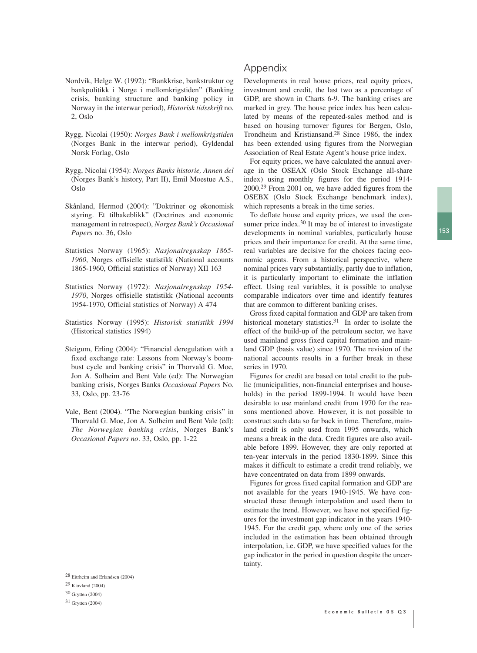- Nordvik, Helge W. (1992): "Bankkrise, bankstruktur og bankpolitikk i Norge i mellomkrigstiden" (Banking crisis, banking structure and banking policy in Norway in the interwar period), *Historisk tidsskrift* no. 2, Oslo
- Rygg, Nicolai (1950): *Norges Bank i mellomkrigstiden* (Norges Bank in the interwar period), Gyldendal Norsk Forlag, Oslo
- Rygg, Nicolai (1954): *Norges Banks historie, Annen del* (Norges Bank's history, Part II), Emil Moestue A.S., Oslo
- Skånland, Hermod (2004): "Doktriner og økonomisk styring. Et tilbakeblikk" (Doctrines and economic management in retrospect), *Norges Bank's Occasional Papers* no. 36, Oslo
- Statistics Norway (1965): *Nasjonalregnskap 1865- 1960*, Norges offisielle statistikk (National accounts 1865-1960, Official statistics of Norway) XII 163
- Statistics Norway (1972): *Nasjonalregnskap 1954- 1970*, Norges offisielle statistikk (National accounts 1954-1970, Official statistics of Norway) A 474
- Statistics Norway (1995): *Historisk statistikk 1994* (Historical statistics 1994)
- Steigum, Erling (2004): "Financial deregulation with a fixed exchange rate: Lessons from Norway's boombust cycle and banking crisis" in Thorvald G. Moe, Jon A. Solheim and Bent Vale (ed): The Norwegian banking crisis, Norges Banks *Occasional Papers* No. 33, Oslo, pp. 23-76
- Vale, Bent (2004). "The Norwegian banking crisis" in Thorvald G. Moe, Jon A. Solheim and Bent Vale (ed): *The Norwegian banking crisis*, Norges Bank's *Occasional Papers no*. 33, Oslo, pp. 1-22

### 28 Eitrheim and Erlandsen (2004)

29 Klovland (2004)

### 30 Grytten (2004)

31 Grytten (2004)

# Appendix

Developments in real house prices, real equity prices, investment and credit, the last two as a percentage of GDP, are shown in Charts 6-9. The banking crises are marked in grey. The house price index has been calculated by means of the repeated-sales method and is based on housing turnover figures for Bergen, Oslo, Trondheim and Kristiansand.28 Since 1986, the index has been extended using figures from the Norwegian Association of Real Estate Agent's house price index.

For equity prices, we have calculated the annual average in the OSEAX (Oslo Stock Exchange all-share index) using monthly figures for the period 1914- 2000.29 From 2001 on, we have added figures from the OSEBX (Oslo Stock Exchange benchmark index), which represents a break in the time series.

To deflate house and equity prices, we used the consumer price index.<sup>30</sup> It may be of interest to investigate developments in nominal variables, particularly house prices and their importance for credit. At the same time, real variables are decisive for the choices facing economic agents. From a historical perspective, where nominal prices vary substantially, partly due to inflation, it is particularly important to eliminate the inflation effect. Using real variables, it is possible to analyse comparable indicators over time and identify features that are common to different banking crises.

Gross fixed capital formation and GDP are taken from historical monetary statistics.<sup>31</sup> In order to isolate the effect of the build-up of the petroleum sector, we have used mainland gross fixed capital formation and mainland GDP (basis value) since 1970. The revision of the national accounts results in a further break in these series in 1970.

Figures for credit are based on total credit to the public (municipalities, non-financial enterprises and households) in the period 1899-1994. It would have been desirable to use mainland credit from 1970 for the reasons mentioned above. However, it is not possible to construct such data so far back in time. Therefore, mainland credit is only used from 1995 onwards, which means a break in the data. Credit figures are also available before 1899. However, they are only reported at ten-year intervals in the period 1830-1899. Since this makes it difficult to estimate a credit trend reliably, we have concentrated on data from 1899 onwards.

Figures for gross fixed capital formation and GDP are not available for the years 1940-1945. We have constructed these through interpolation and used them to estimate the trend. However, we have not specified figures for the investment gap indicator in the years 1940- 1945. For the credit gap, where only one of the series included in the estimation has been obtained through interpolation, i.e. GDP, we have specified values for the gap indicator in the period in question despite the uncertainty.